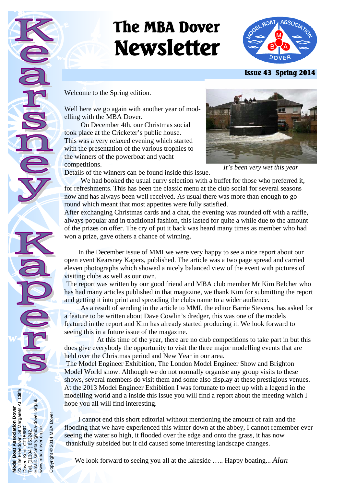# **The MBA Dover Newsletter**



 **Issue 43 Spring 2014** 

Welcome to the Spring edition.

**Model Boat Association Dover**  22 The Freedown, St Margarets At Cliffe.

Boat /

**3oat Association Dover**<br>Freedown, St Margarets At Cliffe.<br>Kent CT156BD

Dover. Kent CT156BD Tel. (01304 ) 853242. Email: secretary@mba-dover.org.uk

Email:  $\vec{e}$ 

1304 ) 853242.<br>secretary@mba-dover.org.uk

www.mba-dover.org.uk

www.mba-dover.org.uk

Copyright © 2014 MBA Dover

Copyright<sup>©</sup>

2014 MBA Dover

Well here we go again with another year of modelling with the MBA Dover.

 On December 4th, our Christmas social took place at the Cricketer's public house. This was a very relaxed evening which started with the presentation of the various trophies to the winners of the powerboat and yacht competitions.



*It's been very wet this year* 

Details of the winners can be found inside this issue.

We had booked the usual curry selection with a buffet for those who preferred it, for refreshments. This has been the classic menu at the club social for several seasons now and has always been well received. As usual there was more than enough to go round which meant that most appetites were fully satisfied.

After exchanging Christmas cards and a chat, the evening was rounded off with a raffle, always popular and in traditional fashion, this lasted for quite a while due to the amount of the prizes on offer. The cry of put it back was heard many times as member who had won a prize, gave others a chance of winning.

 In the December issue of MMI we were very happy to see a nice report about our open event Kearsney Kapers, published. The article was a two page spread and carried eleven photographs which showed a nicely balanced view of the event with pictures of visiting clubs as well as our own.

 The report was written by our good friend and MBA club member Mr Kim Belcher who has had many articles published in that magazine, we thank Kim for submitting the report and getting it into print and spreading the clubs name to a wider audience.

 As a result of sending in the article to MMI, the editor Barrie Stevens, has asked for a feature to be written about Dave Cowlin's dredger, this was one of the models featured in the report and Kim has already started producing it. We look forward to seeing this in a future issue of the magazine.

 At this time of the year, there are no club competitions to take part in but this does give everybody the opportunity to visit the three major modelling events that are held over the Christmas period and New Year in our area.

 The Model Engineer Exhibition, The London Model Engineer Show and Brighton Model World show. Although we do not normally organise any group visits to these shows, several members do visit them and some also display at these prestigious venues. At the 2013 Model Engineer Exhibition I was fortunate to meet up with a legend in the modelling world and a inside this issue you will find a report about the meeting which I hope you all will find interesting.

 I cannot end this short editorial without mentioning the amount of rain and the flooding that we have experienced this winter down at the abbey, I cannot remember ever seeing the water so high, it flooded over the edge and onto the grass, it has now thankfully subsided but it did caused some interesting landscape changes.

We look forward to seeing you all at the lakeside ….. Happy boating... *Alan*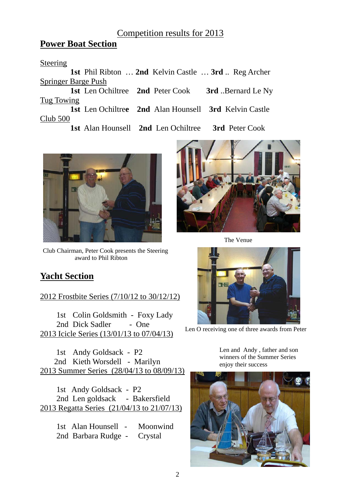## Competition results for 2013

## **Power Boat Section**

#### Steering

 **1st** Phil Ribton … **2nd** Kelvin Castle … **3rd** .. Reg Archer Springer Barge Push

 **1st** Len Ochiltree **2nd** Peter Cook **3rd** ..Bernard Le Ny Tug Towing

 **1st** Len Ochiltre**e 2nd** Alan Hounsell **3rd** Kelvin Castle Club 500

**1st** Alan Hounsell **2nd** Len Ochiltree **3rd** Peter Cook



Club Chairman, Peter Cook presents the Steering award to Phil Ribton

# **Yacht Section**

2012 Frostbite Series (7/10/12 to 30/12/12)

 1st Colin Goldsmith - Foxy Lady 2nd Dick Sadler - One 2013 Icicle Series (13/01/13 to 07/04/13)

 1st Andy Goldsack - P2 2nd Kieth Worsdell - Marilyn 2013 Summer Series (28/04/13 to 08/09/13)

 1st Andy Goldsack - P2 2nd Len goldsack - Bakersfield 2013 Regatta Series (21/04/13 to 21/07/13)

> 1st Alan Hounsell - Moonwind 2nd Barbara Rudge - Crystal



The Venue



Len O receiving one of three awards from Peter

Len and Andy , father and son winners of the Summer Series enjoy their success

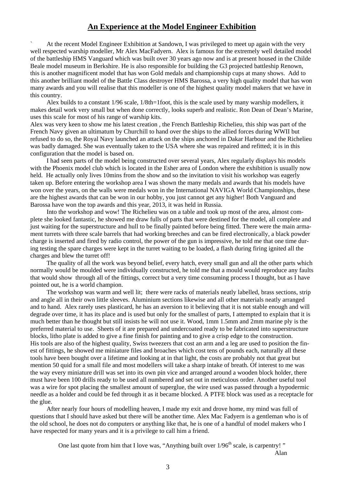#### **An Experience at the Model Engineer Exhibition**

` At the recent Model Engineer Exhibition at Sandown, I was privileged to meet up again with the very well respected warship modeller, Mr Alex MacFadyern. Alex is famous for the extremely well detailed model of the battleship HMS Vanguard which was built over 30 years ago now and is at present housed in the Childe Beale model museum in Berkshire. He is also responsible for building the G3 projected battleship Renown, this is another magnificent model that has won Gold medals and championship cups at many shows. Add to this another brilliant model of the Battle Class destroyer HMS Barossa, a very high quality model that has won many awards and you will realise that this modeller is one of the highest quality model makers that we have in this country.

 Alex builds to a constant 1/96 scale, 1/8th=1foot, this is the scale used by many warship modellers, it makes detail work very small but when done correctly, looks superb and realistic. Ron Dean of Dean's Marine, uses this scale for most of his range of warship kits.

Alex was very keen to show me his latest creation , the French Battleship Richelieu, this ship was part of the French Navy given an ultimatum by Churchill to hand over the ships to the allied forces during WWII but refused to do so, the Royal Navy launched an attack on the ships anchored in Dakar Harbour and the Richelieu was badly damaged. She was eventually taken to the USA where she was repaired and refitted; it is in this configuration that the model is based on.

 I had seen parts of the model being constructed over several years, Alex regularly displays his models with the Phoenix model club which is located in the Esher area of London where the exhibition is usually now held. He actually only lives 10mins from the show and so the invitation to visit his workshop was eagerly taken up. Before entering the workshop area I was shown the many medals and awards that his models have won over the years, on the walls were medals won in the International NAVIGA World Championships, these are the highest awards that can be won in our hobby, you just cannot get any higher! Both Vanguard and Barossa have won the top awards and this year, 2013, it was held in Russia.

 Into the workshop and wow! The Richelieu was on a table and took up most of the area, almost complete she looked fantastic, he showed me draw fulls of parts that were destined for the model, all complete and just waiting for the superstructure and hull to be finally painted before being fitted. There were the main armament turrets with three scale barrels that had working breeches and can be fired electronically, a black powder charge is inserted and fired by radio control, the power of the gun is impressive, he told me that one time during testing the spare charges were kept in the turret waiting to be loaded, a flash during firing ignited all the charges and blew the turret off!

 The quality of all the work was beyond belief, every hatch, every small gun and all the other parts which normally would be moulded were individually constructed, he told me that a mould would reproduce any faults that would show through all of the fittings, correct but a very time consuming process I thought, but as I have pointed out, he is a world champion.

 The workshop was warm and well lit; there were racks of materials neatly labelled, brass sections, strip and angle all in their own little sleeves. Aluminium sections likewise and all other materials neatly arranged and to hand. Alex rarely uses plasticard, he has an aversion to it believing that it is not stable enough and will degrade over time, it has its place and is used but only for the smallest of parts, I attempted to explain that it is much better than he thought but still insists he will not use it. Wood, 1mm 1.5mm and 2mm marine ply is the preferred material to use. Sheets of it are prepared and undercoated ready to be fabricated into superstructure blocks, litho plate is added to give a fine finish for painting and to give a crisp edge to the construction. His tools are also of the highest quality, Swiss tweezers that cost an arm and a leg are used to position the finest of fittings, he showed me miniature files and broaches which cost tens of pounds each, naturally all these tools have been bought over a lifetime and looking at in that light, the costs are probably not that great but mention 50 quid for a small file and most modellers will take a sharp intake of breath. Of interest to me was the way every miniature drill was set into its own pin vice and arranged around a wooden block holder, there must have been 100 drills ready to be used all numbered and set out in meticulous order. Another useful tool was a wire for spot placing the smallest amount of superglue, the wire used was passed through a hypodermic needle as a holder and could be fed through it as it became blocked. A PTFE block was used as a receptacle for the glue.

 After nearly four hours of modelling heaven, I made my exit and drove home, my mind was full of questions that I should have asked but there will be another time. Alex Mac Fadyern is a gentleman who is of the old school, he does not do computers or anything like that, he is one of a handful of model makers who I have respected for many years and it is a privilege to call him a friend.

One last quote from him that I love was, "Anything built over  $1/96<sup>th</sup>$  scale, is carpentry!"

Alan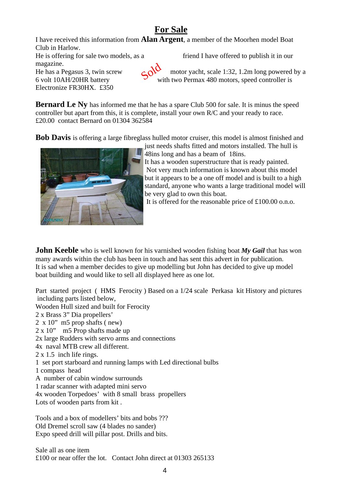# **For Sale**

I have received this information from **Alan Argent**, a member of the Moorhen model Boat Club in Harlow. He is offering for sale two models, as a friend I have offered to publish it in our magazine. He has a Pegasus 3, twin screw motor yacht, scale 1:32, 1.2m long powered by a 6 volt 10AH/20HR battery with two Permax 480 motors, speed controller is Electronize FR30HX. £350 crid

**Bernard Le Nv** has informed me that he has a spare Club 500 for sale. It is minus the speed controller but apart from this, it is complete, install your own R/C and your ready to race. £20.00 contact Bernard on 01304 362584

**Bob Davis** is offering a large fibreglass hulled motor cruiser, this model is almost finished and



just needs shafts fitted and motors installed. The hull is 48ins long and has a beam of 18ins.

It has a wooden superstructure that is ready painted. Not very much information is known about this model but it appears to be a one off model and is built to a high standard, anyone who wants a large traditional model will be very glad to own this boat.

It is offered for the reasonable price of £100.00 o.n.o.

**John Keeble** who is well known for his varnished wooden fishing boat My Gail that has won many awards within the club has been in touch and has sent this advert in for publication. It is sad when a member decides to give up modelling but John has decided to give up model boat building and would like to sell all displayed here as one lot.

Part started project ( HMS Ferocity ) Based on a 1/24 scale Perkasa kit History and pictures including parts listed below, Wooden Hull sized and built for Ferocity 2 x Brass 3" Dia propellers' 2 x 10" m5 prop shafts ( new) 2 x 10" m5 Prop shafts made up 2x large Rudders with servo arms and connections 4x naval MTB crew all different. 2 x 1.5 inch life rings. 1 set port starboard and running lamps with Led directional bulbs 1 compass head A number of cabin window surrounds 1 radar scanner with adapted mini servo 4x wooden Torpedoes' with 8 small brass propellers Lots of wooden parts from kit . Tools and a box of modellers' bits and bobs ???

Old Dremel scroll saw (4 blades no sander) Expo speed drill will pillar post. Drills and bits.

Sale all as one item £100 or near offer the lot. Contact John direct at 01303 265133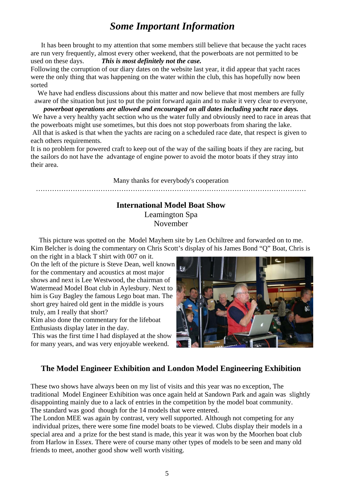# *Some Important Information*

 It has been brought to my attention that some members still believe that because the yacht races are run very frequently, almost every other weekend, that the powerboats are not permitted to be used on these days. *This is most definitely not the case.* 

Following the corruption of our diary dates on the website last year, it did appear that yacht races were the only thing that was happening on the water within the club, this has hopefully now been sorted

We have had endless discussions about this matter and now believe that most members are fully aware of the situation but just to put the point forward again and to make it very clear to everyone,

*powerboat operations are allowed and encouraged on all dates including yacht race days.*  We have a very healthy yacht section who us the water fully and obviously need to race in areas that the powerboats might use sometimes, but this does not stop powerboats from sharing the lake. All that is asked is that when the yachts are racing on a scheduled race date, that respect is given to each others requirements.

It is no problem for powered craft to keep out of the way of the sailing boats if they are racing, but the sailors do not have the advantage of engine power to avoid the motor boats if they stray into their area.

Many thanks for everybody's cooperation

………………………………………………………………………………………………………

### **International Model Boat Show**  Leamington Spa

November

This picture was spotted on the Model Mayhem site by Len Ochiltree and forwarded on to me. Kim Belcher is doing the commentary on Chris Scott's display of his James Bond "Q" Boat, Chris is

on the right in a black T shirt with 007 on it. On the left of the picture is Steve Dean, well known for the commentary and acoustics at most major shows and next is Lee Westwood, the chairman of Watermead Model Boat club in Aylesbury. Next to him is Guy Bagley the famous Lego boat man. The short grey haired old gent in the middle is yours truly, am I really that short?

Kim also done the commentary for the lifeboat Enthusiasts display later in the day.

 This was the first time I had displayed at the show for many years, and was very enjoyable weekend.



## **The Model Engineer Exhibition and London Model Engineering Exhibition**

These two shows have always been on my list of visits and this year was no exception, The traditional Model Engineer Exhibition was once again held at Sandown Park and again was slightly disappointing mainly due to a lack of entries in the competition by the model boat community. The standard was good though for the 14 models that were entered.

The London MEE was again by contrast, very well supported. Although not competing for any individual prizes, there were some fine model boats to be viewed. Clubs display their models in a special area and a prize for the best stand is made, this year it was won by the Moorhen boat club from Harlow in Essex. There were of course many other types of models to be seen and many old friends to meet, another good show well worth visiting.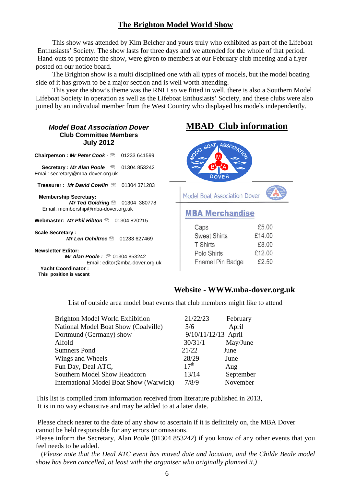## **The Brighton Model World Show**

 This show was attended by Kim Belcher and yours truly who exhibited as part of the Lifeboat Enthusiasts' Society. The show lasts for three days and we attended for the whole of that period. Hand-outs to promote the show, were given to members at our February club meeting and a flyer posted on our notice board.

 The Brighton show is a multi disciplined one with all types of models, but the model boating side of it has grown to be a major section and is well worth attending.

 This year the show's theme was the RNLI so we fitted in well, there is also a Southern Model Lifeboat Society in operation as well as the Lifeboat Enthusiasts' Society, and these clubs were also joined by an individual member from the West Country who displayed his models independently.

| <b>Model Boat Association Dover</b><br><b>Club Committee Members</b><br><b>July 2012</b>                                                           | <b>MBAD</b> Club information          |        |
|----------------------------------------------------------------------------------------------------------------------------------------------------|---------------------------------------|--------|
| Chairperson : Mr Peter Cook - <sup>®</sup><br>01233 641599<br><b>Secretary: Mr Alan Poole</b><br>01304 853242<br>Email: secretary@mba-dover.org.uk | ASSOCIA<br>JODEL BOAT<br><b>DOVER</b> |        |
| Treasurer: Mr David Cowlin <sup>®</sup><br>01304 371283                                                                                            |                                       |        |
| <b>Membership Secretary:</b>                                                                                                                       | <b>Model Boat Association Dover</b>   |        |
| <b>Mr Ted Goldring <math>\mathbb{R}</math></b> 01304 380778<br>Email: membership@mba-dover.org.uk                                                  | <b>MBA Merchandise</b>                |        |
| Webmaster: Mr Phil Ribton <sup>®</sup><br>01304 820215                                                                                             |                                       |        |
| <b>Scale Secretary:</b>                                                                                                                            | Caps                                  | £5.00  |
| Mr Len Ochiltree<br>01233 627469                                                                                                                   | <b>Sweat Shirts</b>                   | £14.00 |
|                                                                                                                                                    | <b>T</b> Shirts                       | £8.00  |
| <b>Newsletter Editor:</b>                                                                                                                          | Polo Shirts                           | £12.00 |
| <b>Mr Alan Poole: <math>\textcircled{}01304853242</math></b><br>Email: editor@mba-dover.org.uk                                                     | Enamel Pin Badge                      | £2.50  |
| <b>Yacht Coordinator:</b><br>This position is vacant                                                                                               |                                       |        |

#### **Website - WWW.mba-dover.org.uk**

List of outside area model boat events that club members might like to attend

| <b>Brighton Model World Exhibition</b>  | 21/22/23            | February  |
|-----------------------------------------|---------------------|-----------|
| National Model Boat Show (Coalville)    | 5/6                 | April     |
| Dortmund (Germany) show                 | 9/10/11/12/13 April |           |
| Alfold                                  | 30/31/1             | May/June  |
| <b>Sumners Pond</b>                     | 21/22               | June      |
| Wings and Wheels                        | 28/29               | June      |
| Fun Day, Deal ATC,                      | 17 <sup>th</sup>    | Aug       |
| Southern Model Show Headcorn            | 13/14               | September |
| International Model Boat Show (Warwick) | 7/8/9               | November  |

This list is compiled from information received from literature published in 2013, It is in no way exhaustive and may be added to at a later date.

 Please check nearer to the date of any show to ascertain if it is definitely on, the MBA Dover cannot be held responsible for any errors or omissions.

Please inform the Secretary, Alan Poole (01304 853242) if you know of any other events that you feel needs to be added.

 (*Please note that the Deal ATC event has moved date and location, and the Childe Beale model show has been cancelled, at least with the organiser who originally planned it.)*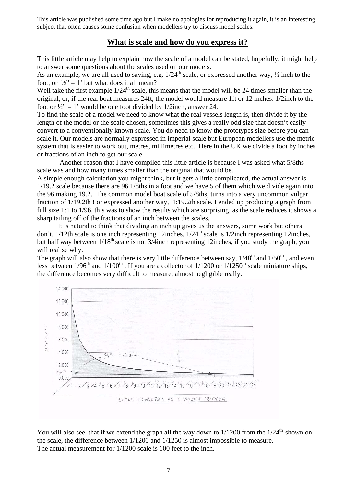This article was published some time ago but I make no apologies for reproducing it again, it is an interesting subject that often causes some confusion when modellers try to discuss model scales.

#### **What is scale and how do you express it?**

This little article may help to explain how the scale of a model can be stated, hopefully, it might help to answer some questions about the scales used on our models.

As an example, we are all used to saying, e.g.  $1/24^{th}$  scale, or expressed another way,  $\frac{1}{2}$  inch to the foot, or  $\frac{1}{2}$  = 1' but what does it all mean?

Well take the first example  $1/24<sup>th</sup>$  scale, this means that the model will be 24 times smaller than the original, or, if the real boat measures 24ft, the model would measure 1ft or 12 inches. 1/2inch to the foot or  $\frac{1}{2}$ " = 1' would be one foot divided by 1/2inch, answer 24.

To find the scale of a model we need to know what the real vessels length is, then divide it by the length of the model or the scale chosen, sometimes this gives a really odd size that doesn't easily convert to a conventionally known scale. You do need to know the prototypes size before you can scale it. Our models are normally expressed in imperial scale but European modellers use the metric system that is easier to work out, metres, millimetres etc. Here in the UK we divide a foot by inches or fractions of an inch to get our scale.

 Another reason that I have compiled this little article is because I was asked what 5/8ths scale was and how many times smaller than the original that would be.

A simple enough calculation you might think, but it gets a little complicated, the actual answer is 1/19.2 scale because there are 96 1/8ths in a foot and we have 5 of them which we divide again into the 96 making 19.2. The common model boat scale of 5/8ths, turns into a very uncommon vulgar fraction of 1/19.2th ! or expressed another way, 1:19.2th scale. I ended up producing a graph from full size 1:1 to 1/96, this was to show the results which are surprising, as the scale reduces it shows a sharp tailing off of the fractions of an inch between the scales.

It is natural to think that dividing an inch up gives us the answers, some work but others don't.  $1/12$ th scale is one inch representing 12inches,  $1/24$ <sup>th</sup> scale is  $1/2$ inch representing 12inches, but half way between  $1/18^{th}$  scale is not 3/4inch representing 12inches, if you study the graph, you will realise why.

The graph will also show that there is very little difference between say,  $1/48^{th}$  and  $1/50^{th}$ , and even less between  $1/96<sup>th</sup>$  and  $1/100<sup>th</sup>$ . If you are a collector of  $1/1200$  or  $1/1250<sup>th</sup>$  scale miniature ships, the difference becomes very difficult to measure, almost negligible really.



You will also see that if we extend the graph all the way down to  $1/1200$  from the  $1/24<sup>th</sup>$  shown on the scale, the difference between 1/1200 and 1/1250 is almost impossible to measure. The actual measurement for 1/1200 scale is 100 feet to the inch.